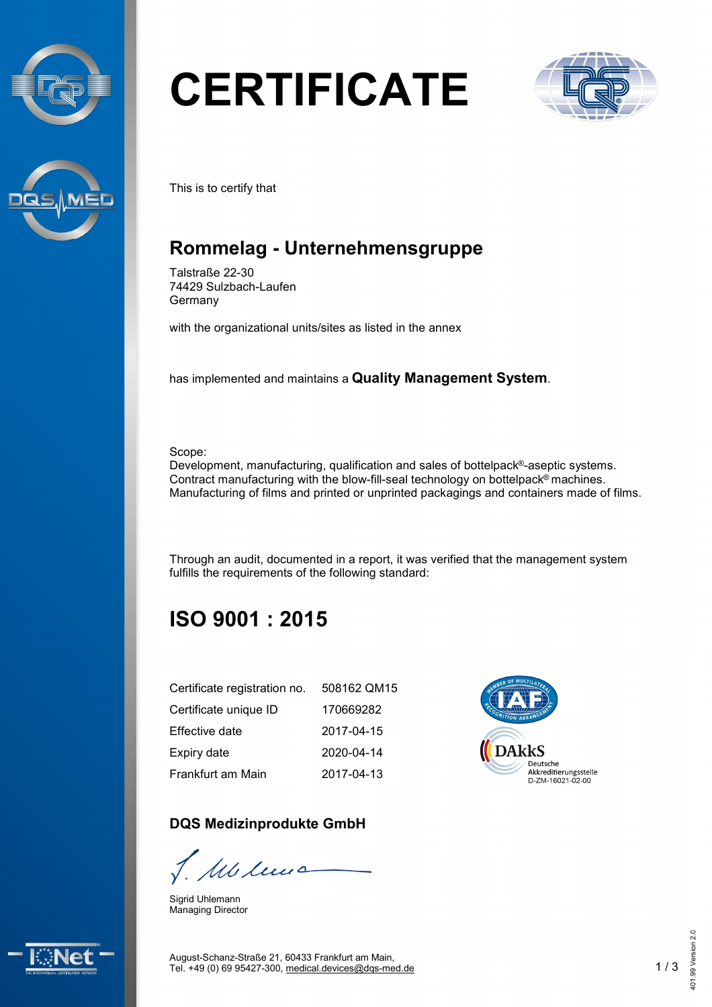



# **CERTIFICATE**



This is to certify that

## **Rommelag - Unternehmensgruppe**

Talstraße 22-30 74429 Sulzbach-Laufen Germany

with the organizational units/sites as listed in the annex

has implemented and maintains a **Quality Management System**.

Scope:

Development, manufacturing, qualification and sales of bottelpack®-aseptic systems. Contract manufacturing with the blow-fill-seal technology on bottelpack® machines. Manufacturing of films and printed or unprinted packagings and containers made of films.

Through an audit, documented in a report, it was verified that the management system fulfills the requirements of the following standard:

**DARKS** 

Deutsche Akkreditierungsstelle<br>D-ZM-16021-02-00

# **ISO 9001 : 2015**

| Certificate registration no. | 508162 QM15 |
|------------------------------|-------------|
| Certificate unique ID        | 170669282   |
| <b>Effective date</b>        | 2017-04-15  |
| Expiry date                  | 2020-04-14  |
| Frankfurt am Main            | 2017-04-13  |

#### **DQS Medizinprodukte GmbH**

1 Mb leves

Sigrid Uhlemann Managing Director



August-Schanz-Straße 21, 60433 Frankfurt am Main, Tel. +49 (0) 69 95427-300, [medical.devices@dqs-med.de](mailto:medical.devices@dqs-med.de) 1 / 3



401.99 Version 2.0

101.99 Version 2.0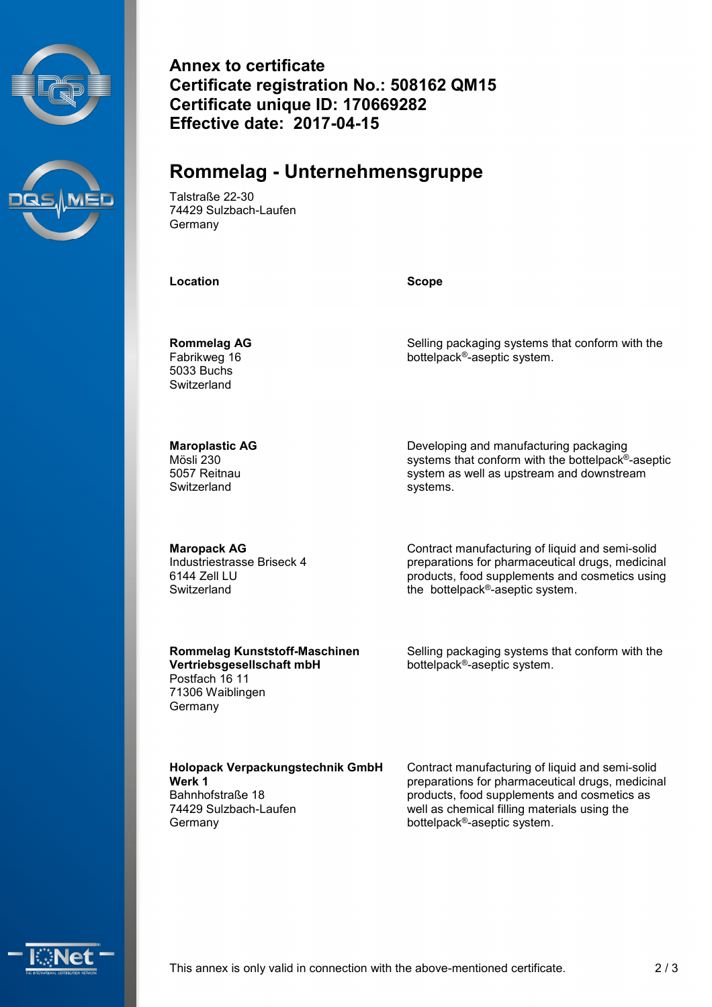



**Annex to certificate Certificate registration No.: 508162 QM15 Certificate unique ID: 170669282 Effective date: 2017-04-15**

### **Rommelag - Unternehmensgruppe**

Talstraße 22-30 74429 Sulzbach-Laufen **Germany** 

**Location Scope**

**Rommelag AG** Fabrikweg 16 5033 Buchs **Switzerland** 

Selling packaging systems that conform with the bottelpack®-aseptic system.

**Maroplastic AG** Mösli 230 5057 Reitnau **Switzerland** 

Developing and manufacturing packaging systems that conform with the bottelpack®-aseptic system as well as upstream and downstream systems.

**Maropack AG** Industriestrasse Briseck 4 6144 Zell LU **Switzerland** 

Contract manufacturing of liquid and semi-solid preparations for pharmaceutical drugs, medicinal the bottelpack®-aseptic system.

#### **Rommelag Kunststoff-Maschinen Vertriebsgesellschaft mbH**

Postfach 16 11 71306 Waiblingen Germany

products, food supplements and cosmetics using

Selling packaging systems that conform with the bottelpack®-aseptic system.

**Holopack Verpackungstechnik GmbH Werk 1** Bahnhofstraße 18 74429 Sulzbach-Laufen Germany

Contract manufacturing of liquid and semi-solid preparations for pharmaceutical drugs, medicinal products, food supplements and cosmetics as well as chemical filling materials using the bottelpack®-aseptic system.